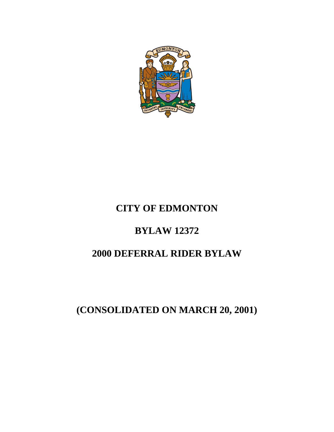

# **CITY OF EDMONTON**

# **BYLAW 12372**

# **2000 DEFERRAL RIDER BYLAW**

**(CONSOLIDATED ON MARCH 20, 2001)**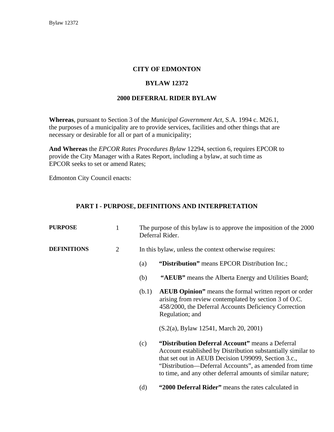## **CITY OF EDMONTON**

### **BYLAW 12372**

#### **2000 DEFERRAL RIDER BYLAW**

**Whereas**, pursuant to Section 3 of the *Municipal Government Act*, S.A. 1994 c. M26.1, the purposes of a municipality are to provide services, facilities and other things that are necessary or desirable for all or part of a municipality;

**And Whereas** the *EPCOR Rates Procedures Bylaw* 12294, section 6, requires EPCOR to provide the City Manager with a Rates Report, including a bylaw, at such time as EPCOR seeks to set or amend Rates;

Edmonton City Council enacts:

### **PART I - PURPOSE, DEFINITIONS AND INTERPRETATION**

| <b>PURPOSE</b>     | 1              | The purpose of this bylaw is to approve the imposition of the 2000<br>Deferral Rider. |                                                                                                                                                                                                                                                                                                 |  |
|--------------------|----------------|---------------------------------------------------------------------------------------|-------------------------------------------------------------------------------------------------------------------------------------------------------------------------------------------------------------------------------------------------------------------------------------------------|--|
| <b>DEFINITIONS</b> | $\overline{2}$ | In this bylaw, unless the context otherwise requires:                                 |                                                                                                                                                                                                                                                                                                 |  |
|                    |                | (a)                                                                                   | "Distribution" means EPCOR Distribution Inc.;                                                                                                                                                                                                                                                   |  |
|                    |                | (b)                                                                                   | "AEUB" means the Alberta Energy and Utilities Board;                                                                                                                                                                                                                                            |  |
|                    |                | (b.1)                                                                                 | <b>AEUB Opinion</b> " means the formal written report or order<br>arising from review contemplated by section 3 of O.C.<br>458/2000, the Deferral Accounts Deficiency Correction<br>Regulation; and                                                                                             |  |
|                    |                |                                                                                       | (S.2(a), Bylaw 12541, March 20, 2001)                                                                                                                                                                                                                                                           |  |
|                    |                | (c)                                                                                   | "Distribution Deferral Account" means a Deferral<br>Account established by Distribution substantially similar to<br>that set out in AEUB Decision U99099, Section 3.c.,<br>"Distribution—Deferral Accounts", as amended from time<br>to time, and any other deferral amounts of similar nature; |  |

(d) **"2000 Deferral Rider"** means the rates calculated in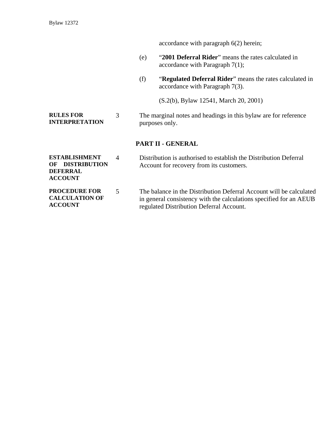accordance with paragraph 6(2) herein;

- (e) "**2001 Deferral Rider**" means the rates calculated in accordance with Paragraph 7(1);
- (f) "**Regulated Deferral Rider**" means the rates calculated in accordance with Paragraph 7(3).
	- (S.2(b), Bylaw 12541, March 20, 2001)
- **RULES FOR INTERPRETATION**  3 The marginal notes and headings in this bylaw are for reference purposes only.

#### **PART II - GENERAL**

| <b>ESTABLISHMENT</b> | Distribution is authorised to establish the Distribution Deferral |
|----------------------|-------------------------------------------------------------------|
| OF DISTRIBUTION      | Account for recovery from its customers.                          |
| <b>DEFERRAL</b>      |                                                                   |
| <b>ACCOUNT</b>       |                                                                   |

**PROCEDURE FOR CALCULATION OF ACCOUNT**  5 The balance in the Distribution Deferral Account will be calculated in general consistency with the calculations specified for an AEUB regulated Distribution Deferral Account.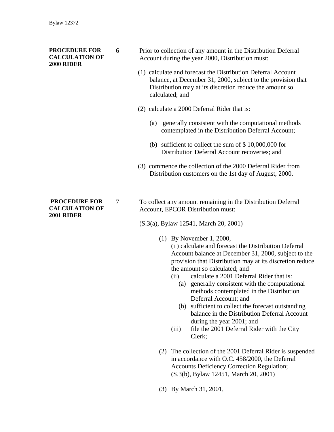#### **PROCEDURE FOR CALCULATION OF 2000 RIDER**

- 6 Prior to collection of any amount in the Distribution Deferral Account during the year 2000, Distribution must:
	- (1) calculate and forecast the Distribution Deferral Account balance, at December 31, 2000, subject to the provision that Distribution may at its discretion reduce the amount so calculated; and
	- (2) calculate a 2000 Deferral Rider that is:
		- (a) generally consistent with the computational methods contemplated in the Distribution Deferral Account;
		- (b) sufficient to collect the sum of \$ 10,000,000 for Distribution Deferral Account recoveries; and
	- (3) commence the collection of the 2000 Deferral Rider from Distribution customers on the 1st day of August, 2000.

# 7 To collect any amount remaining in the Distribution Deferral Account, EPCOR Distribution must:

(S.3(a), Bylaw 12541, March 20, 2001)

(1) By November 1, 2000,

(i ) calculate and forecast the Distribution Deferral Account balance at December 31, 2000, subject to the provision that Distribution may at its discretion reduce the amount so calculated; and

- (ii) calculate a 2001 Deferral Rider that is:
	- (a) generally consistent with the computational methods contemplated in the Distribution Deferral Account; and
	- (b) sufficient to collect the forecast outstanding balance in the Distribution Deferral Account during the year 2001; and
- (iii) file the 2001 Deferral Rider with the City Clerk;
- (2) The collection of the 2001 Deferral Rider is suspended in accordance with O.C. 458/2000, the Deferral Accounts Deficiency Correction Regulation; (S.3(b), Bylaw 12451, March 20, 2001)
- (3) By March 31, 2001,

### **PROCEDURE FOR CALCULATION OF 2001 RIDER**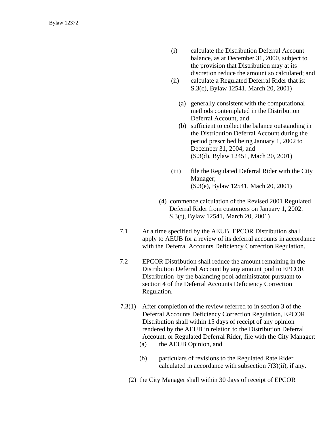- (i) calculate the Distribution Deferral Account balance, as at December 31, 2000, subject to the provision that Distribution may at its discretion reduce the amount so calculated; and
- (ii) calculate a Regulated Deferral Rider that is: S.3(c), Bylaw 12541, March 20, 2001)
	- (a) generally consistent with the computational methods contemplated in the Distribution Deferral Account, and
	- (b) sufficient to collect the balance outstanding in the Distribution Deferral Account during the period prescribed being January 1, 2002 to December 31, 2004; and (S.3(d), Bylaw 12451, Mach 20, 2001)
- (iii) file the Regulated Deferral Rider with the City Manager; (S.3(e), Bylaw 12541, Mach 20, 2001)
- (4) commence calculation of the Revised 2001 Regulated Deferral Rider from customers on January 1, 2002. S.3(f), Bylaw 12541, March 20, 2001)
- 7.1 At a time specified by the AEUB, EPCOR Distribution shall apply to AEUB for a review of its deferral accounts in accordance with the Deferral Accounts Deficiency Correction Regulation.
- 7.2 EPCOR Distribution shall reduce the amount remaining in the Distribution Deferral Account by any amount paid to EPCOR Distribution by the balancing pool administrator pursuant to section 4 of the Deferral Accounts Deficiency Correction Regulation.
- 7.3(1) After completion of the review referred to in section 3 of the Deferral Accounts Deficiency Correction Regulation, EPCOR Distribution shall within 15 days of receipt of any opinion rendered by the AEUB in relation to the Distribution Deferral Account, or Regulated Deferral Rider, file with the City Manager:
	- (a) the AEUB Opinion, and
	- (b) particulars of revisions to the Regulated Rate Rider calculated in accordance with subsection 7(3)(ii), if any.
	- (2) the City Manager shall within 30 days of receipt of EPCOR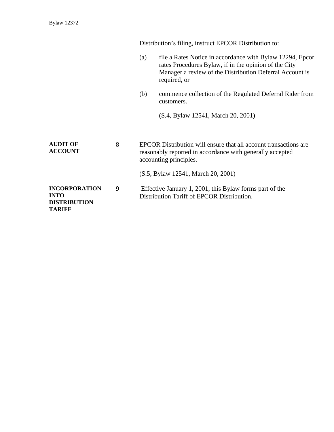|                                                                             |   | Distribution's filing, instruct EPCOR Distribution to:                                                                                                  |                                                                                                                                                                                                |  |
|-----------------------------------------------------------------------------|---|---------------------------------------------------------------------------------------------------------------------------------------------------------|------------------------------------------------------------------------------------------------------------------------------------------------------------------------------------------------|--|
|                                                                             |   | (a)                                                                                                                                                     | file a Rates Notice in accordance with Bylaw 12294, Epcor<br>rates Procedures Bylaw, if in the opinion of the City<br>Manager a review of the Distribution Deferral Account is<br>required, or |  |
|                                                                             |   | (b)                                                                                                                                                     | commence collection of the Regulated Deferral Rider from<br>customers.                                                                                                                         |  |
|                                                                             |   |                                                                                                                                                         | (S.4, Bylaw 12541, March 20, 2001)                                                                                                                                                             |  |
| <b>AUDIT OF</b><br><b>ACCOUNT</b>                                           | 8 | EPCOR Distribution will ensure that all account transactions are<br>reasonably reported in accordance with generally accepted<br>accounting principles. |                                                                                                                                                                                                |  |
|                                                                             |   |                                                                                                                                                         | (S.5, Bylaw 12541, March 20, 2001)                                                                                                                                                             |  |
| <b>INCORPORATION</b><br><b>INTO</b><br><b>DISTRIBUTION</b><br><b>TARIFF</b> | 9 | Effective January 1, 2001, this Bylaw forms part of the<br>Distribution Tariff of EPCOR Distribution.                                                   |                                                                                                                                                                                                |  |